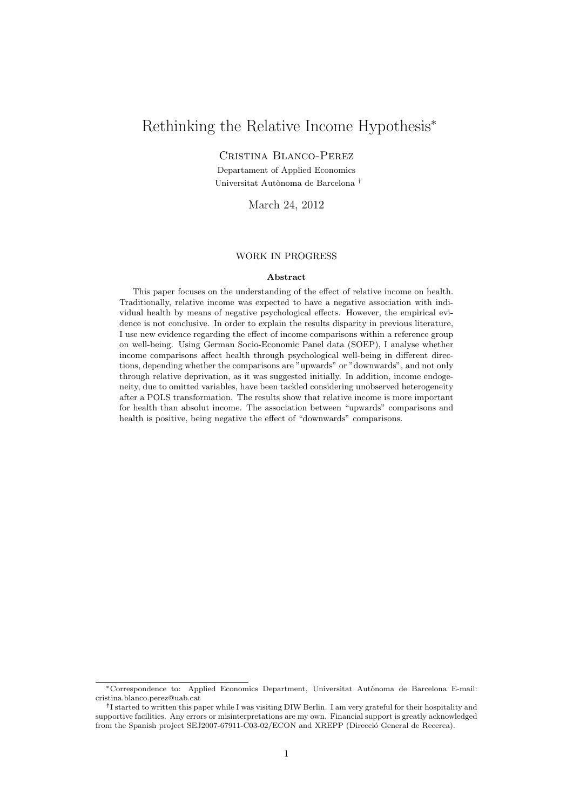# Rethinking the Relative Income Hypothesis<sup>∗</sup>

Cristina Blanco-Perez

Departament of Applied Economics Universitat Autònoma de Barcelona <sup>†</sup>

March 24, 2012

#### WORK IN PROGRESS

#### Abstract

This paper focuses on the understanding of the effect of relative income on health. Traditionally, relative income was expected to have a negative association with individual health by means of negative psychological effects. However, the empirical evidence is not conclusive. In order to explain the results disparity in previous literature, I use new evidence regarding the effect of income comparisons within a reference group on well-being. Using German Socio-Economic Panel data (SOEP), I analyse whether income comparisons affect health through psychological well-being in different directions, depending whether the comparisons are "upwards" or "downwards", and not only through relative deprivation, as it was suggested initially. In addition, income endogeneity, due to omitted variables, have been tackled considering unobserved heterogeneity after a POLS transformation. The results show that relative income is more important for health than absolut income. The association between "upwards" comparisons and health is positive, being negative the effect of "downwards" comparisons.

<sup>\*</sup>Correspondence to: Applied Economics Department, Universitat Autònoma de Barcelona E-mail: cristina.blanco.perez@uab.cat

<sup>&</sup>lt;sup>†</sup>I started to written this paper while I was visiting DIW Berlin. I am very grateful for their hospitality and supportive facilities. Any errors or misinterpretations are my own. Financial support is greatly acknowledged from the Spanish project SEJ2007-67911-C03-02/ECON and XREPP (Direcció General de Recerca).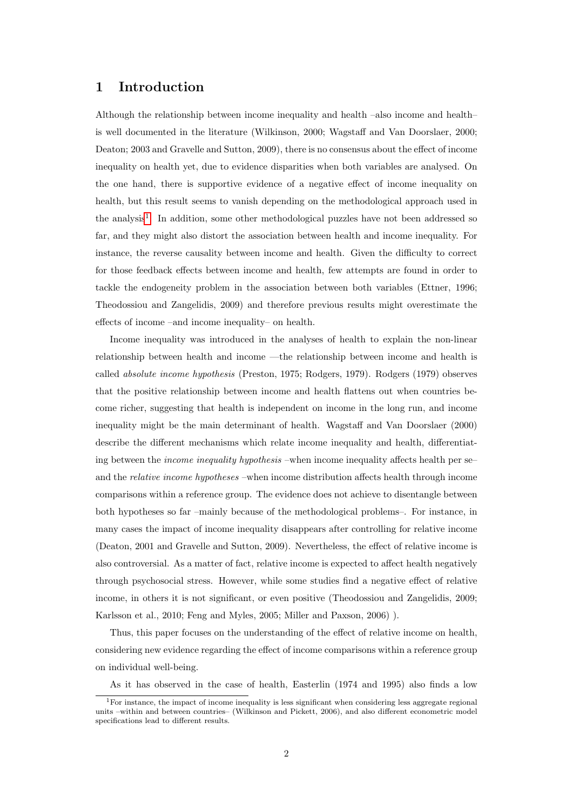## 1 Introduction

Although the relationship between income inequality and health –also income and health– is well documented in the literature (Wilkinson, 2000; Wagstaff and Van Doorslaer, 2000; Deaton; 2003 and Gravelle and Sutton, 2009), there is no consensus about the effect of income inequality on health yet, due to evidence disparities when both variables are analysed. On the one hand, there is supportive evidence of a negative effect of income inequality on health, but this result seems to vanish depending on the methodological approach used in the analysis<sup>[1](#page-1-0)</sup>. In addition, some other methodological puzzles have not been addressed so far, and they might also distort the association between health and income inequality. For instance, the reverse causality between income and health. Given the difficulty to correct for those feedback effects between income and health, few attempts are found in order to tackle the endogeneity problem in the association between both variables (Ettner, 1996; Theodossiou and Zangelidis, 2009) and therefore previous results might overestimate the effects of income –and income inequality– on health.

Income inequality was introduced in the analyses of health to explain the non-linear relationship between health and income —the relationship between income and health is called absolute income hypothesis (Preston, 1975; Rodgers, 1979). Rodgers (1979) observes that the positive relationship between income and health flattens out when countries become richer, suggesting that health is independent on income in the long run, and income inequality might be the main determinant of health. Wagstaff and Van Doorslaer (2000) describe the different mechanisms which relate income inequality and health, differentiating between the *income inequality hypothesis* –when income inequality affects health per se– and the relative income hypotheses –when income distribution affects health through income comparisons within a reference group. The evidence does not achieve to disentangle between both hypotheses so far –mainly because of the methodological problems–. For instance, in many cases the impact of income inequality disappears after controlling for relative income (Deaton, 2001 and Gravelle and Sutton, 2009). Nevertheless, the effect of relative income is also controversial. As a matter of fact, relative income is expected to affect health negatively through psychosocial stress. However, while some studies find a negative effect of relative income, in others it is not significant, or even positive (Theodossiou and Zangelidis, 2009; Karlsson et al., 2010; Feng and Myles, 2005; Miller and Paxson, 2006) ).

Thus, this paper focuses on the understanding of the effect of relative income on health, considering new evidence regarding the effect of income comparisons within a reference group on individual well-being.

As it has observed in the case of health, Easterlin (1974 and 1995) also finds a low

<span id="page-1-0"></span> $1$ For instance, the impact of income inequality is less significant when considering less aggregate regional units –within and between countries– (Wilkinson and Pickett, 2006), and also different econometric model specifications lead to different results.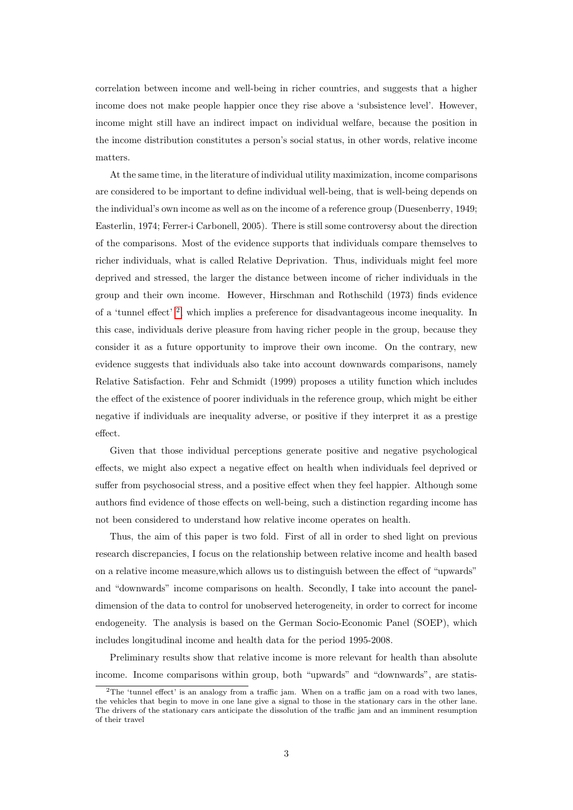correlation between income and well-being in richer countries, and suggests that a higher income does not make people happier once they rise above a 'subsistence level'. However, income might still have an indirect impact on individual welfare, because the position in the income distribution constitutes a person's social status, in other words, relative income matters.

At the same time, in the literature of individual utility maximization, income comparisons are considered to be important to define individual well-being, that is well-being depends on the individual's own income as well as on the income of a reference group (Duesenberry, 1949; Easterlin, 1974; Ferrer-i Carbonell, 2005). There is still some controversy about the direction of the comparisons. Most of the evidence supports that individuals compare themselves to richer individuals, what is called Relative Deprivation. Thus, individuals might feel more deprived and stressed, the larger the distance between income of richer individuals in the group and their own income. However, Hirschman and Rothschild (1973) finds evidence of a 'tunnel effect' [2](#page-2-0) , which implies a preference for disadvantageous income inequality. In this case, individuals derive pleasure from having richer people in the group, because they consider it as a future opportunity to improve their own income. On the contrary, new evidence suggests that individuals also take into account downwards comparisons, namely Relative Satisfaction. Fehr and Schmidt (1999) proposes a utility function which includes the effect of the existence of poorer individuals in the reference group, which might be either negative if individuals are inequality adverse, or positive if they interpret it as a prestige effect.

Given that those individual perceptions generate positive and negative psychological effects, we might also expect a negative effect on health when individuals feel deprived or suffer from psychosocial stress, and a positive effect when they feel happier. Although some authors find evidence of those effects on well-being, such a distinction regarding income has not been considered to understand how relative income operates on health.

Thus, the aim of this paper is two fold. First of all in order to shed light on previous research discrepancies, I focus on the relationship between relative income and health based on a relative income measure,which allows us to distinguish between the effect of "upwards" and "downwards" income comparisons on health. Secondly, I take into account the paneldimension of the data to control for unobserved heterogeneity, in order to correct for income endogeneity. The analysis is based on the German Socio-Economic Panel (SOEP), which includes longitudinal income and health data for the period 1995-2008.

Preliminary results show that relative income is more relevant for health than absolute income. Income comparisons within group, both "upwards" and "downwards", are statis-

<span id="page-2-0"></span><sup>2</sup>The 'tunnel effect' is an analogy from a traffic jam. When on a traffic jam on a road with two lanes, the vehicles that begin to move in one lane give a signal to those in the stationary cars in the other lane. The drivers of the stationary cars anticipate the dissolution of the traffic jam and an imminent resumption of their travel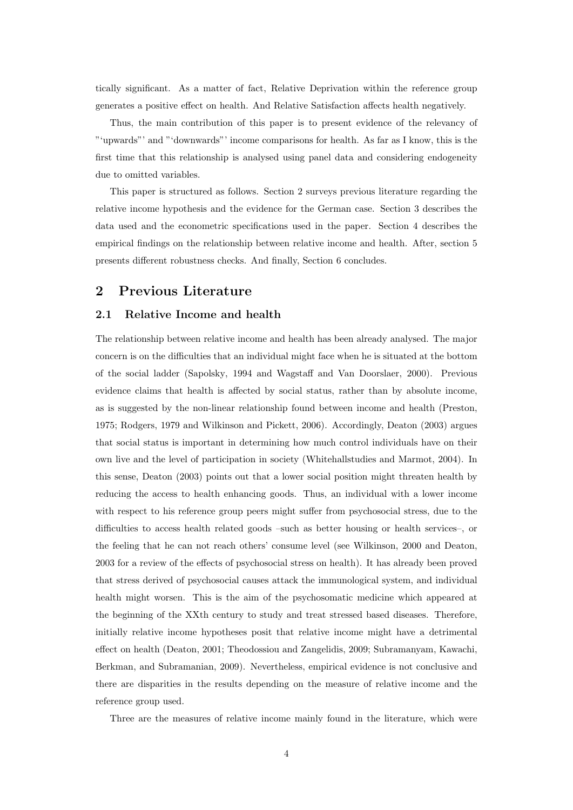tically significant. As a matter of fact, Relative Deprivation within the reference group generates a positive effect on health. And Relative Satisfaction affects health negatively.

Thus, the main contribution of this paper is to present evidence of the relevancy of "'upwards"' and "'downwards"' income comparisons for health. As far as I know, this is the first time that this relationship is analysed using panel data and considering endogeneity due to omitted variables.

This paper is structured as follows. Section 2 surveys previous literature regarding the relative income hypothesis and the evidence for the German case. Section 3 describes the data used and the econometric specifications used in the paper. Section 4 describes the empirical findings on the relationship between relative income and health. After, section 5 presents different robustness checks. And finally, Section 6 concludes.

# 2 Previous Literature

### 2.1 Relative Income and health

The relationship between relative income and health has been already analysed. The major concern is on the difficulties that an individual might face when he is situated at the bottom of the social ladder (Sapolsky, 1994 and Wagstaff and Van Doorslaer, 2000). Previous evidence claims that health is affected by social status, rather than by absolute income, as is suggested by the non-linear relationship found between income and health (Preston, 1975; Rodgers, 1979 and Wilkinson and Pickett, 2006). Accordingly, Deaton (2003) argues that social status is important in determining how much control individuals have on their own live and the level of participation in society (Whitehallstudies and Marmot, 2004). In this sense, Deaton (2003) points out that a lower social position might threaten health by reducing the access to health enhancing goods. Thus, an individual with a lower income with respect to his reference group peers might suffer from psychosocial stress, due to the difficulties to access health related goods –such as better housing or health services–, or the feeling that he can not reach others' consume level (see Wilkinson, 2000 and Deaton, 2003 for a review of the effects of psychosocial stress on health). It has already been proved that stress derived of psychosocial causes attack the immunological system, and individual health might worsen. This is the aim of the psychosomatic medicine which appeared at the beginning of the XXth century to study and treat stressed based diseases. Therefore, initially relative income hypotheses posit that relative income might have a detrimental effect on health (Deaton, 2001; Theodossiou and Zangelidis, 2009; Subramanyam, Kawachi, Berkman, and Subramanian, 2009). Nevertheless, empirical evidence is not conclusive and there are disparities in the results depending on the measure of relative income and the reference group used.

Three are the measures of relative income mainly found in the literature, which were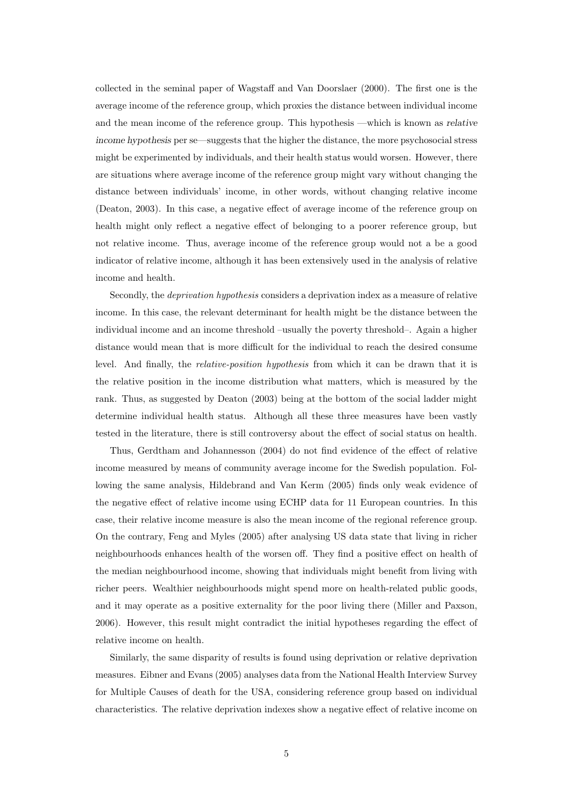collected in the seminal paper of Wagstaff and Van Doorslaer (2000). The first one is the average income of the reference group, which proxies the distance between individual income and the mean income of the reference group. This hypothesis —which is known as relative income hypothesis per se—suggests that the higher the distance, the more psychosocial stress might be experimented by individuals, and their health status would worsen. However, there are situations where average income of the reference group might vary without changing the distance between individuals' income, in other words, without changing relative income (Deaton, 2003). In this case, a negative effect of average income of the reference group on health might only reflect a negative effect of belonging to a poorer reference group, but not relative income. Thus, average income of the reference group would not a be a good indicator of relative income, although it has been extensively used in the analysis of relative income and health.

Secondly, the deprivation hypothesis considers a deprivation index as a measure of relative income. In this case, the relevant determinant for health might be the distance between the individual income and an income threshold –usually the poverty threshold–. Again a higher distance would mean that is more difficult for the individual to reach the desired consume level. And finally, the relative-position hypothesis from which it can be drawn that it is the relative position in the income distribution what matters, which is measured by the rank. Thus, as suggested by Deaton (2003) being at the bottom of the social ladder might determine individual health status. Although all these three measures have been vastly tested in the literature, there is still controversy about the effect of social status on health.

Thus, Gerdtham and Johannesson (2004) do not find evidence of the effect of relative income measured by means of community average income for the Swedish population. Following the same analysis, Hildebrand and Van Kerm (2005) finds only weak evidence of the negative effect of relative income using ECHP data for 11 European countries. In this case, their relative income measure is also the mean income of the regional reference group. On the contrary, Feng and Myles (2005) after analysing US data state that living in richer neighbourhoods enhances health of the worsen off. They find a positive effect on health of the median neighbourhood income, showing that individuals might benefit from living with richer peers. Wealthier neighbourhoods might spend more on health-related public goods, and it may operate as a positive externality for the poor living there (Miller and Paxson, 2006). However, this result might contradict the initial hypotheses regarding the effect of relative income on health.

Similarly, the same disparity of results is found using deprivation or relative deprivation measures. Eibner and Evans (2005) analyses data from the National Health Interview Survey for Multiple Causes of death for the USA, considering reference group based on individual characteristics. The relative deprivation indexes show a negative effect of relative income on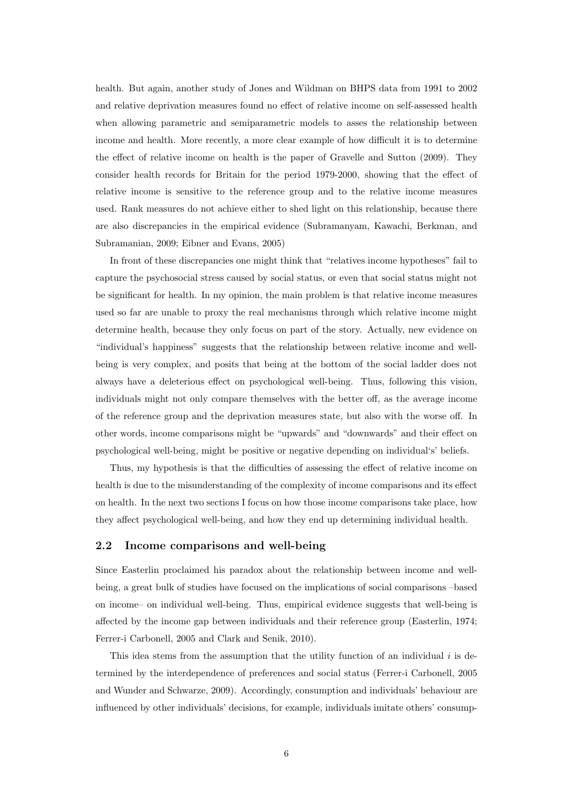health. But again, another study of Jones and Wildman on BHPS data from 1991 to 2002 and relative deprivation measures found no effect of relative income on self-assessed health when allowing parametric and semiparametric models to asses the relationship between income and health. More recently, a more clear example of how difficult it is to determine the effect of relative income on health is the paper of Gravelle and Sutton (2009). They consider health records for Britain for the period 1979-2000, showing that the effect of relative income is sensitive to the reference group and to the relative income measures used. Rank measures do not achieve either to shed light on this relationship, because there are also discrepancies in the empirical evidence (Subramanyam, Kawachi, Berkman, and Subramanian, 2009; Eibner and Evans, 2005)

In front of these discrepancies one might think that "relatives income hypotheses" fail to capture the psychosocial stress caused by social status, or even that social status might not be significant for health. In my opinion, the main problem is that relative income measures used so far are unable to proxy the real mechanisms through which relative income might determine health, because they only focus on part of the story. Actually, new evidence on "individual's happiness" suggests that the relationship between relative income and wellbeing is very complex, and posits that being at the bottom of the social ladder does not always have a deleterious effect on psychological well-being. Thus, following this vision, individuals might not only compare themselves with the better off, as the average income of the reference group and the deprivation measures state, but also with the worse off. In other words, income comparisons might be "upwards" and "downwards" and their effect on psychological well-being, might be positive or negative depending on individual's' beliefs.

Thus, my hypothesis is that the difficulties of assessing the effect of relative income on health is due to the misunderstanding of the complexity of income comparisons and its effect on health. In the next two sections I focus on how those income comparisons take place, how they affect psychological well-being, and how they end up determining individual health.

#### 2.2 Income comparisons and well-being

Since Easterlin proclaimed his paradox about the relationship between income and wellbeing, a great bulk of studies have focused on the implications of social comparisons –based on income– on individual well-being. Thus, empirical evidence suggests that well-being is affected by the income gap between individuals and their reference group (Easterlin, 1974; Ferrer-i Carbonell, 2005 and Clark and Senik, 2010).

This idea stems from the assumption that the utility function of an individual  $i$  is determined by the interdependence of preferences and social status (Ferrer-i Carbonell, 2005 and Wunder and Schwarze, 2009). Accordingly, consumption and individuals' behaviour are influenced by other individuals' decisions, for example, individuals imitate others' consump-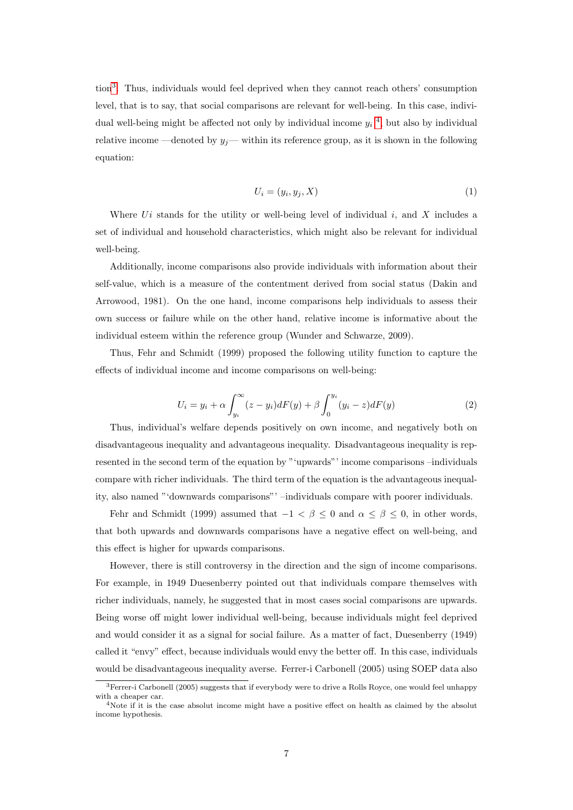tion[3](#page-6-0) . Thus, individuals would feel deprived when they cannot reach others' consumption level, that is to say, that social comparisons are relevant for well-being. In this case, individual well-being might be affected not only by individual income  $y_i$ <sup>[4](#page-6-1)</sup>, but also by individual relative income —denoted by  $y_j$ — within its reference group, as it is shown in the following equation:

$$
U_i = (y_i, y_j, X) \tag{1}
$$

Where  $Ui$  stands for the utility or well-being level of individual i, and X includes a set of individual and household characteristics, which might also be relevant for individual well-being.

Additionally, income comparisons also provide individuals with information about their self-value, which is a measure of the contentment derived from social status (Dakin and Arrowood, 1981). On the one hand, income comparisons help individuals to assess their own success or failure while on the other hand, relative income is informative about the individual esteem within the reference group (Wunder and Schwarze, 2009).

Thus, Fehr and Schmidt (1999) proposed the following utility function to capture the effects of individual income and income comparisons on well-being:

$$
U_i = y_i + \alpha \int_{y_i}^{\infty} (z - y_i) dF(y) + \beta \int_0^{y_i} (y_i - z) dF(y)
$$
 (2)

Thus, individual's welfare depends positively on own income, and negatively both on disadvantageous inequality and advantageous inequality. Disadvantageous inequality is represented in the second term of the equation by "'upwards"' income comparisons –individuals compare with richer individuals. The third term of the equation is the advantageous inequality, also named "'downwards comparisons"' –individuals compare with poorer individuals.

Fehr and Schmidt (1999) assumed that  $-1 < \beta \leq 0$  and  $\alpha \leq \beta \leq 0$ , in other words, that both upwards and downwards comparisons have a negative effect on well-being, and this effect is higher for upwards comparisons.

However, there is still controversy in the direction and the sign of income comparisons. For example, in 1949 Duesenberry pointed out that individuals compare themselves with richer individuals, namely, he suggested that in most cases social comparisons are upwards. Being worse off might lower individual well-being, because individuals might feel deprived and would consider it as a signal for social failure. As a matter of fact, Duesenberry (1949) called it "envy" effect, because individuals would envy the better off. In this case, individuals would be disadvantageous inequality averse. Ferrer-i Carbonell (2005) using SOEP data also

<span id="page-6-0"></span><sup>&</sup>lt;sup>3</sup>Ferrer-i Carbonell (2005) suggests that if everybody were to drive a Rolls Royce, one would feel unhappy with a cheaper car.

<span id="page-6-1"></span><sup>4</sup>Note if it is the case absolut income might have a positive effect on health as claimed by the absolut income hypothesis.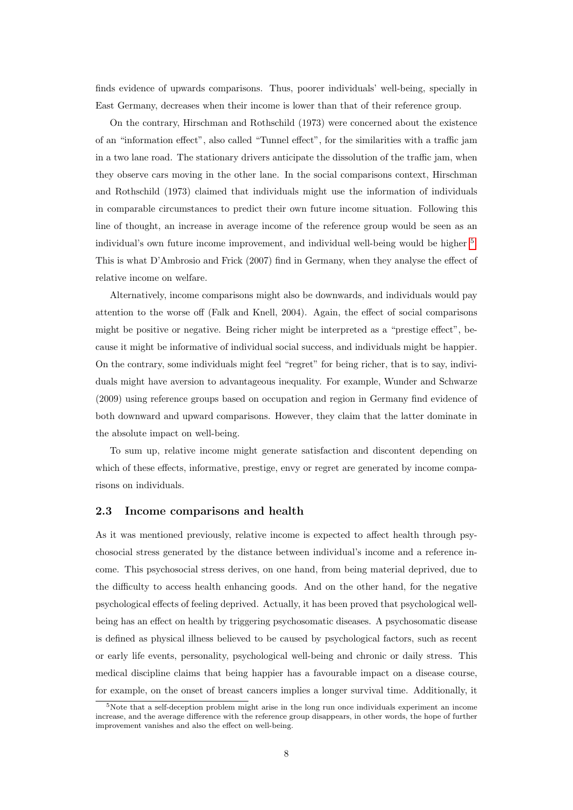finds evidence of upwards comparisons. Thus, poorer individuals' well-being, specially in East Germany, decreases when their income is lower than that of their reference group.

On the contrary, Hirschman and Rothschild (1973) were concerned about the existence of an "information effect", also called "Tunnel effect", for the similarities with a traffic jam in a two lane road. The stationary drivers anticipate the dissolution of the traffic jam, when they observe cars moving in the other lane. In the social comparisons context, Hirschman and Rothschild (1973) claimed that individuals might use the information of individuals in comparable circumstances to predict their own future income situation. Following this line of thought, an increase in average income of the reference group would be seen as an individual's own future income improvement, and individual well-being would be higher <sup>[5](#page-7-0)</sup>. This is what D'Ambrosio and Frick (2007) find in Germany, when they analyse the effect of relative income on welfare.

Alternatively, income comparisons might also be downwards, and individuals would pay attention to the worse off (Falk and Knell, 2004). Again, the effect of social comparisons might be positive or negative. Being richer might be interpreted as a "prestige effect", because it might be informative of individual social success, and individuals might be happier. On the contrary, some individuals might feel "regret" for being richer, that is to say, individuals might have aversion to advantageous inequality. For example, Wunder and Schwarze (2009) using reference groups based on occupation and region in Germany find evidence of both downward and upward comparisons. However, they claim that the latter dominate in the absolute impact on well-being.

To sum up, relative income might generate satisfaction and discontent depending on which of these effects, informative, prestige, envy or regret are generated by income comparisons on individuals.

### 2.3 Income comparisons and health

As it was mentioned previously, relative income is expected to affect health through psychosocial stress generated by the distance between individual's income and a reference income. This psychosocial stress derives, on one hand, from being material deprived, due to the difficulty to access health enhancing goods. And on the other hand, for the negative psychological effects of feeling deprived. Actually, it has been proved that psychological wellbeing has an effect on health by triggering psychosomatic diseases. A psychosomatic disease is defined as physical illness believed to be caused by psychological factors, such as recent or early life events, personality, psychological well-being and chronic or daily stress. This medical discipline claims that being happier has a favourable impact on a disease course, for example, on the onset of breast cancers implies a longer survival time. Additionally, it

<span id="page-7-0"></span> $5$ Note that a self-deception problem might arise in the long run once individuals experiment an income increase, and the average difference with the reference group disappears, in other words, the hope of further improvement vanishes and also the effect on well-being.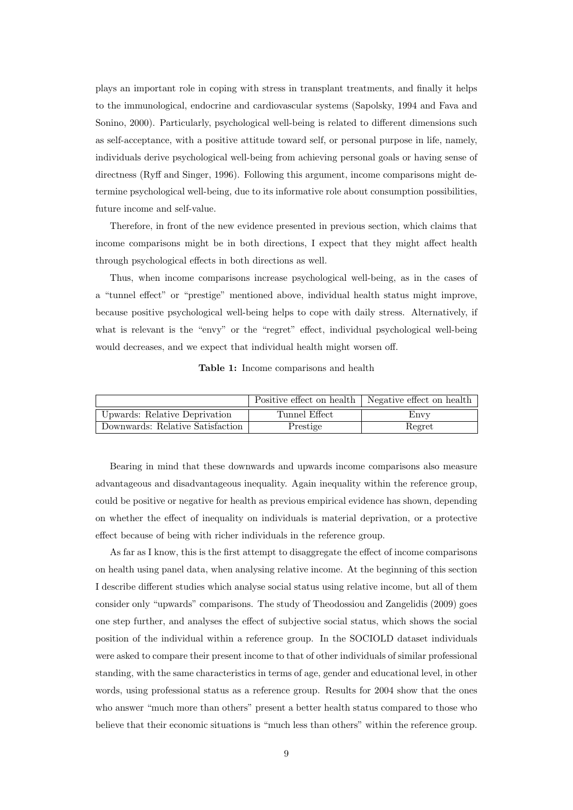plays an important role in coping with stress in transplant treatments, and finally it helps to the immunological, endocrine and cardiovascular systems (Sapolsky, 1994 and Fava and Sonino, 2000). Particularly, psychological well-being is related to different dimensions such as self-acceptance, with a positive attitude toward self, or personal purpose in life, namely, individuals derive psychological well-being from achieving personal goals or having sense of directness (Ryff and Singer, 1996). Following this argument, income comparisons might determine psychological well-being, due to its informative role about consumption possibilities, future income and self-value.

Therefore, in front of the new evidence presented in previous section, which claims that income comparisons might be in both directions, I expect that they might affect health through psychological effects in both directions as well.

Thus, when income comparisons increase psychological well-being, as in the cases of a "tunnel effect" or "prestige" mentioned above, individual health status might improve, because positive psychological well-being helps to cope with daily stress. Alternatively, if what is relevant is the "envy" or the "regret" effect, individual psychological well-being would decreases, and we expect that individual health might worsen off.

Table 1: Income comparisons and health

|                                  |               | Positive effect on health   Negative effect on health |
|----------------------------------|---------------|-------------------------------------------------------|
| Upwards: Relative Deprivation    | Tunnel Effect | Envv                                                  |
| Downwards: Relative Satisfaction | Prestige      | Regret                                                |

Bearing in mind that these downwards and upwards income comparisons also measure advantageous and disadvantageous inequality. Again inequality within the reference group, could be positive or negative for health as previous empirical evidence has shown, depending on whether the effect of inequality on individuals is material deprivation, or a protective effect because of being with richer individuals in the reference group.

As far as I know, this is the first attempt to disaggregate the effect of income comparisons on health using panel data, when analysing relative income. At the beginning of this section I describe different studies which analyse social status using relative income, but all of them consider only "upwards" comparisons. The study of Theodossiou and Zangelidis (2009) goes one step further, and analyses the effect of subjective social status, which shows the social position of the individual within a reference group. In the SOCIOLD dataset individuals were asked to compare their present income to that of other individuals of similar professional standing, with the same characteristics in terms of age, gender and educational level, in other words, using professional status as a reference group. Results for 2004 show that the ones who answer "much more than others" present a better health status compared to those who believe that their economic situations is "much less than others" within the reference group.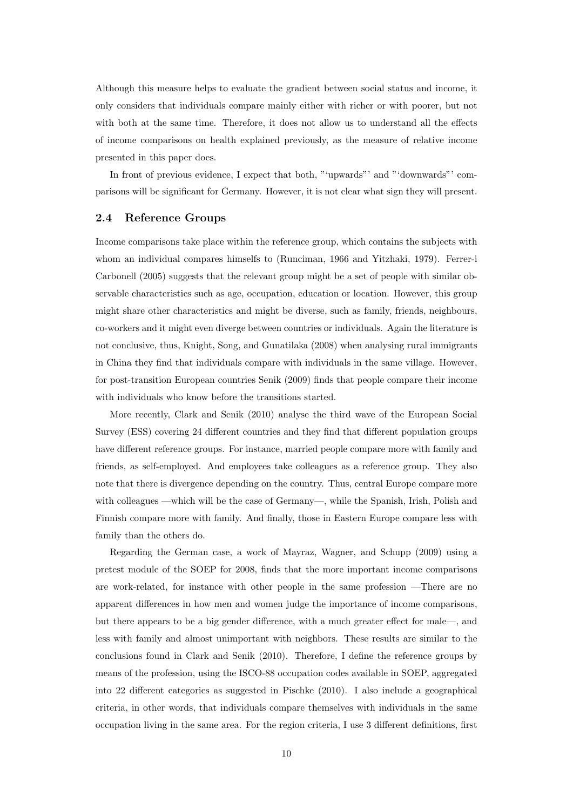Although this measure helps to evaluate the gradient between social status and income, it only considers that individuals compare mainly either with richer or with poorer, but not with both at the same time. Therefore, it does not allow us to understand all the effects of income comparisons on health explained previously, as the measure of relative income presented in this paper does.

In front of previous evidence, I expect that both, "'upwards" and "'downwards"' comparisons will be significant for Germany. However, it is not clear what sign they will present.

#### 2.4 Reference Groups

Income comparisons take place within the reference group, which contains the subjects with whom an individual compares himselfs to (Runciman, 1966 and Yitzhaki, 1979). Ferrer-i Carbonell (2005) suggests that the relevant group might be a set of people with similar observable characteristics such as age, occupation, education or location. However, this group might share other characteristics and might be diverse, such as family, friends, neighbours, co-workers and it might even diverge between countries or individuals. Again the literature is not conclusive, thus, Knight, Song, and Gunatilaka (2008) when analysing rural immigrants in China they find that individuals compare with individuals in the same village. However, for post-transition European countries Senik (2009) finds that people compare their income with individuals who know before the transitions started.

More recently, Clark and Senik (2010) analyse the third wave of the European Social Survey (ESS) covering 24 different countries and they find that different population groups have different reference groups. For instance, married people compare more with family and friends, as self-employed. And employees take colleagues as a reference group. They also note that there is divergence depending on the country. Thus, central Europe compare more with colleagues —which will be the case of Germany—, while the Spanish, Irish, Polish and Finnish compare more with family. And finally, those in Eastern Europe compare less with family than the others do.

Regarding the German case, a work of Mayraz, Wagner, and Schupp (2009) using a pretest module of the SOEP for 2008, finds that the more important income comparisons are work-related, for instance with other people in the same profession —There are no apparent differences in how men and women judge the importance of income comparisons, but there appears to be a big gender difference, with a much greater effect for male—, and less with family and almost unimportant with neighbors. These results are similar to the conclusions found in Clark and Senik (2010). Therefore, I define the reference groups by means of the profession, using the ISCO-88 occupation codes available in SOEP, aggregated into 22 different categories as suggested in Pischke (2010). I also include a geographical criteria, in other words, that individuals compare themselves with individuals in the same occupation living in the same area. For the region criteria, I use 3 different definitions, first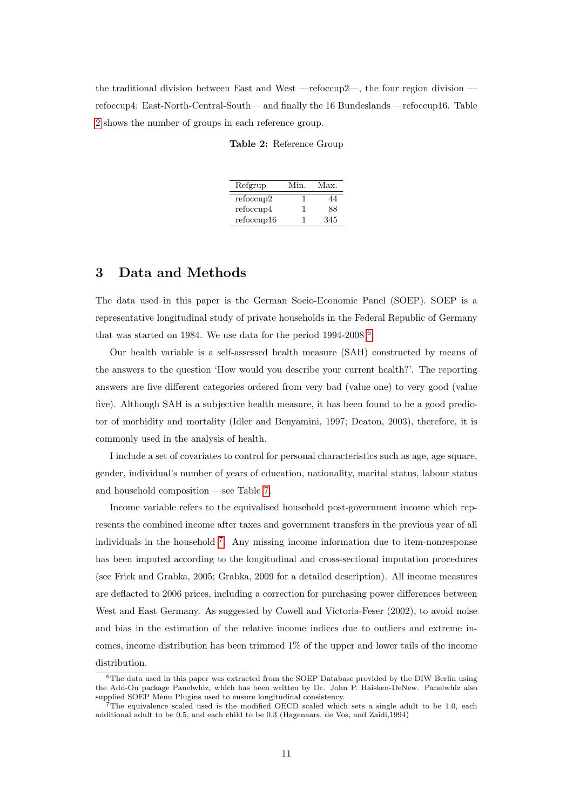<span id="page-10-0"></span>the traditional division between East and West —refoccup2—, the four region division refoccup4: East-North-Central-South— and finally the 16 Bundeslands —refoccup16. Table [2](#page-10-0) shows the number of groups in each reference group.

| Refgrup    | Min. | Max. |
|------------|------|------|
| refoccup2  |      | 44   |
| refoccup4  |      | 88   |
| refoccup16 |      | 345  |

# 3 Data and Methods

The data used in this paper is the German Socio-Economic Panel (SOEP). SOEP is a representative longitudinal study of private households in the Federal Republic of Germany that was started on 1984. We use data for the period  $1994-2008$ <sup>[6](#page-10-1)</sup>.

Our health variable is a self-assessed health measure (SAH) constructed by means of the answers to the question 'How would you describe your current health?'. The reporting answers are five different categories ordered from very bad (value one) to very good (value five). Although SAH is a subjective health measure, it has been found to be a good predictor of morbidity and mortality (Idler and Benyamini, 1997; Deaton, 2003), therefore, it is commonly used in the analysis of health.

I include a set of covariates to control for personal characteristics such as age, age square, gender, individual's number of years of education, nationality, marital status, labour status and household composition —see Table [7.](#page-26-0)

Income variable refers to the equivalised household post-government income which represents the combined income after taxes and government transfers in the previous year of all individuals in the household [7](#page-10-2) . Any missing income information due to item-nonresponse has been imputed according to the longitudinal and cross-sectional imputation procedures (see Frick and Grabka, 2005; Grabka, 2009 for a detailed description). All income measures are deflacted to 2006 prices, including a correction for purchasing power differences between West and East Germany. As suggested by Cowell and Victoria-Feser (2002), to avoid noise and bias in the estimation of the relative income indices due to outliers and extreme incomes, income distribution has been trimmed 1% of the upper and lower tails of the income distribution.

<span id="page-10-1"></span> $6$ The data used in this paper was extracted from the SOEP Database provided by the DIW Berlin using the Add-On package Panelwhiz, which has been written by Dr. John P. Haisken-DeNew. Panelwhiz also supplied SOEP Menu Plugins used to ensure longitudinal consistency.

<span id="page-10-2"></span><sup>&</sup>lt;sup>7</sup>The equivalence scaled used is the modified OECD scaled which sets a single adult to be 1.0, each additional adult to be 0.5, and each child to be 0.3 (Hagenaars, de Vos, and Zaidi,1994)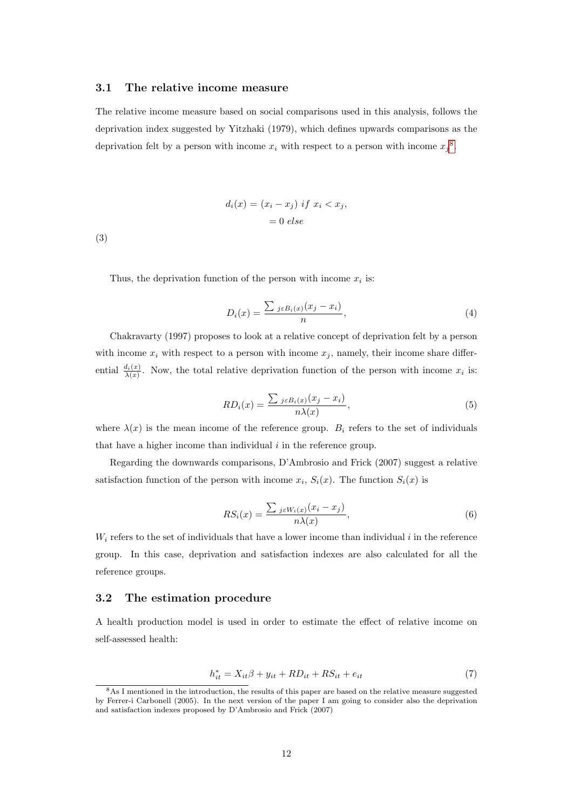#### 3.1 The relative income measure

The relative income measure based on social comparisons used in this analysis, follows the deprivation index suggested by Yitzhaki (1979), which defines upwards comparisons as the deprivation felt by a person with income  $x_i$  with respect to a person with income  $x_j$ <sup>[8](#page-11-0)</sup>.

$$
d_i(x) = (x_i - x_j) \text{ if } x_i < x_j,
$$
\n
$$
= 0 \text{ else}
$$

(3)

Thus, the deprivation function of the person with income  $x_i$  is:

$$
D_i(x) = \frac{\sum_{j \in B_i(x)} (x_j - x_i)}{n},\tag{4}
$$

Chakravarty (1997) proposes to look at a relative concept of deprivation felt by a person with income  $x_i$  with respect to a person with income  $x_j$ , namely, their income share differential  $\frac{d_i(x)}{\lambda(x)}$ . Now, the total relative deprivation function of the person with income  $x_i$  is:

$$
RD_i(x) = \frac{\sum_{j \in B_i(x)} (x_j - x_i)}{n\lambda(x)},\tag{5}
$$

where  $\lambda(x)$  is the mean income of the reference group.  $B_i$  refers to the set of individuals that have a higher income than individual  $i$  in the reference group.

Regarding the downwards comparisons, D'Ambrosio and Frick (2007) suggest a relative satisfaction function of the person with income  $x_i$ ,  $S_i(x)$ . The function  $S_i(x)$  is

$$
RS_i(x) = \frac{\sum_{j \in W_i(x)} (x_i - x_j)}{n\lambda(x)},\tag{6}
$$

 $W_i$  refers to the set of individuals that have a lower income than individual i in the reference group. In this case, deprivation and satisfaction indexes are also calculated for all the reference groups.

#### 3.2 The estimation procedure

A health production model is used in order to estimate the effect of relative income on self-assessed health:

$$
h_{it}^* = X_{it}\beta + y_{it} + RD_{it} + RS_{it} + e_{it}
$$
\n
$$
\tag{7}
$$

<span id="page-11-0"></span><sup>8</sup>As I mentioned in the introduction, the results of this paper are based on the relative measure suggested by Ferrer-i Carbonell (2005). In the next version of the paper I am going to consider also the deprivation and satisfaction indexes proposed by D'Ambrosio and Frick (2007)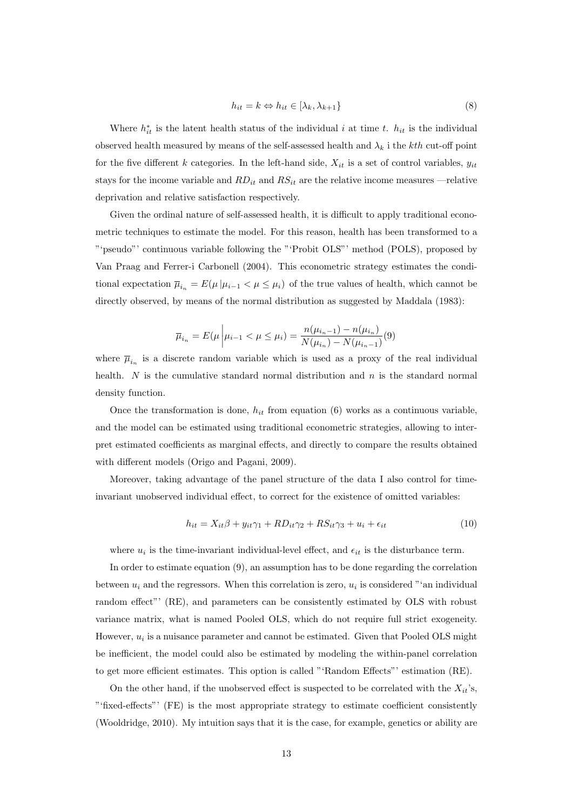$$
h_{it} = k \Leftrightarrow h_{it} \in [\lambda_k, \lambda_{k+1}] \tag{8}
$$

Where  $h_{it}^*$  is the latent health status of the individual i at time t.  $h_{it}$  is the individual observed health measured by means of the self-assessed health and  $\lambda_k$  i the kth cut-off point for the five different k categories. In the left-hand side,  $X_{it}$  is a set of control variables,  $y_{it}$ stays for the income variable and  $RD_{it}$  and  $RS_{it}$  are the relative income measures —relative deprivation and relative satisfaction respectively.

Given the ordinal nature of self-assessed health, it is difficult to apply traditional econometric techniques to estimate the model. For this reason, health has been transformed to a "'pseudo"' continuous variable following the "'Probit OLS"' method (POLS), proposed by Van Praag and Ferrer-i Carbonell (2004). This econometric strategy estimates the conditional expectation  $\overline{\mu}_{i_n} = E(\mu | \mu_{i-1} < \mu \leq \mu_i)$  of the true values of health, which cannot be directly observed, by means of the normal distribution as suggested by Maddala (1983):

$$
\overline{\mu}_{i_n} = E(\mu \left| \mu_{i-1} < \mu \le \mu_i) = \frac{n(\mu_{i_n-1}) - n(\mu_{i_n})}{N(\mu_{i_n}) - N(\mu_{i_n-1})}(9) \right)
$$

where  $\overline{\mu}_{i_n}$  is a discrete random variable which is used as a proxy of the real individual health.  $N$  is the cumulative standard normal distribution and  $n$  is the standard normal density function.

Once the transformation is done,  $h_{it}$  from equation (6) works as a continuous variable, and the model can be estimated using traditional econometric strategies, allowing to interpret estimated coefficients as marginal effects, and directly to compare the results obtained with different models (Origo and Pagani, 2009).

Moreover, taking advantage of the panel structure of the data I also control for timeinvariant unobserved individual effect, to correct for the existence of omitted variables:

$$
h_{it} = X_{it}\beta + y_{it}\gamma_1 + RD_{it}\gamma_2 + RS_{it}\gamma_3 + u_i + \epsilon_{it}
$$
\n
$$
(10)
$$

where  $u_i$  is the time-invariant individual-level effect, and  $\epsilon_{it}$  is the disturbance term.

In order to estimate equation (9), an assumption has to be done regarding the correlation between  $u_i$  and the regressors. When this correlation is zero,  $u_i$  is considered "'an individual random effect"' (RE), and parameters can be consistently estimated by OLS with robust variance matrix, what is named Pooled OLS, which do not require full strict exogeneity. However,  $u_i$  is a nuisance parameter and cannot be estimated. Given that Pooled OLS might be inefficient, the model could also be estimated by modeling the within-panel correlation to get more efficient estimates. This option is called "'Random Effects"' estimation (RE).

On the other hand, if the unobserved effect is suspected to be correlated with the  $X_{it}$ 's, "'fixed-effects"' (FE) is the most appropriate strategy to estimate coefficient consistently (Wooldridge, 2010). My intuition says that it is the case, for example, genetics or ability are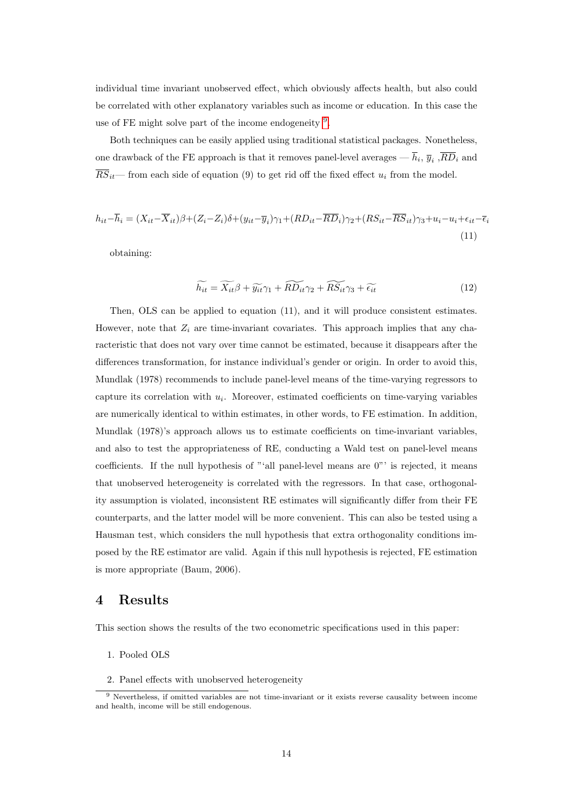individual time invariant unobserved effect, which obviously affects health, but also could be correlated with other explanatory variables such as income or education. In this case the use of FE might solve part of the income endogeneity <sup>[9](#page-13-0)</sup>.

Both techniques can be easily applied using traditional statistical packages. Nonetheless, one drawback of the FE approach is that it removes panel-level averages —  $h_i$ ,  $\overline{y}_i$ ,  $RD_i$  and  $\overline{RS}_{it}$  from each side of equation (9) to get rid off the fixed effect  $u_i$  from the model.

$$
h_{it} - \overline{h}_i = (X_{it} - \overline{X}_{it})\beta + (Z_i - Z_i)\delta + (y_{it} - \overline{y}_i)\gamma_1 + (RD_{it} - \overline{RD}_i)\gamma_2 + (RS_{it} - \overline{RS}_{it})\gamma_3 + u_i - u_i + \epsilon_{it} - \overline{\epsilon}_i
$$
\n(11)

obtaining:

$$
\widetilde{h_{it}} = \widetilde{X_{it}} \beta + \widetilde{y_{it}} \gamma_1 + \widetilde{RD_{it}} \gamma_2 + \widetilde{RS_{it}} \gamma_3 + \widetilde{\epsilon_{it}} \tag{12}
$$

Then, OLS can be applied to equation (11), and it will produce consistent estimates. However, note that  $Z_i$  are time-invariant covariates. This approach implies that any characteristic that does not vary over time cannot be estimated, because it disappears after the differences transformation, for instance individual's gender or origin. In order to avoid this, Mundlak (1978) recommends to include panel-level means of the time-varying regressors to capture its correlation with  $u_i$ . Moreover, estimated coefficients on time-varying variables are numerically identical to within estimates, in other words, to FE estimation. In addition, Mundlak (1978)'s approach allows us to estimate coefficients on time-invariant variables, and also to test the appropriateness of RE, conducting a Wald test on panel-level means coefficients. If the null hypothesis of "'all panel-level means are 0"' is rejected, it means that unobserved heterogeneity is correlated with the regressors. In that case, orthogonality assumption is violated, inconsistent RE estimates will significantly differ from their FE counterparts, and the latter model will be more convenient. This can also be tested using a Hausman test, which considers the null hypothesis that extra orthogonality conditions imposed by the RE estimator are valid. Again if this null hypothesis is rejected, FE estimation is more appropriate (Baum, 2006).

### 4 Results

This section shows the results of the two econometric specifications used in this paper:

- 1. Pooled OLS
- 2. Panel effects with unobserved heterogeneity

<span id="page-13-0"></span><sup>&</sup>lt;sup>9</sup> Nevertheless, if omitted variables are not time-invariant or it exists reverse causality between income and health, income will be still endogenous.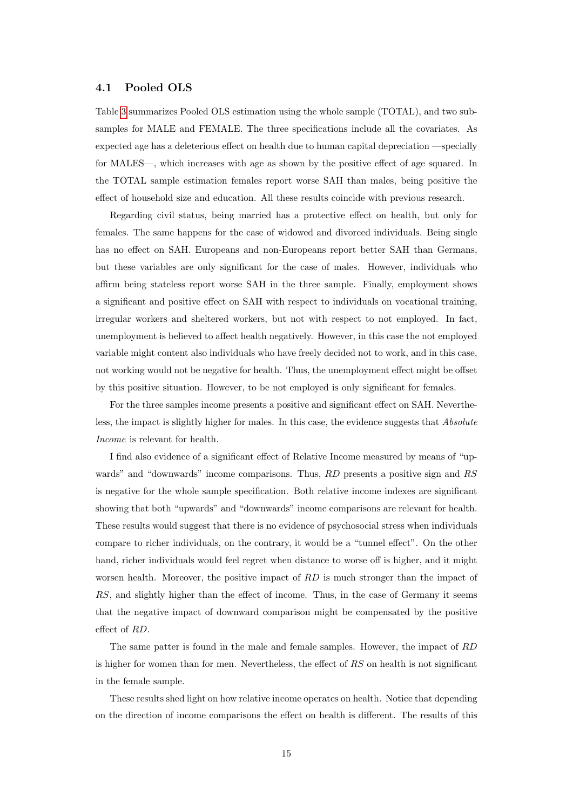#### 4.1 Pooled OLS

Table [3](#page-15-0) summarizes Pooled OLS estimation using the whole sample (TOTAL), and two subsamples for MALE and FEMALE. The three specifications include all the covariates. As expected age has a deleterious effect on health due to human capital depreciation —specially for MALES—, which increases with age as shown by the positive effect of age squared. In the TOTAL sample estimation females report worse SAH than males, being positive the effect of household size and education. All these results coincide with previous research.

Regarding civil status, being married has a protective effect on health, but only for females. The same happens for the case of widowed and divorced individuals. Being single has no effect on SAH. Europeans and non-Europeans report better SAH than Germans, but these variables are only significant for the case of males. However, individuals who affirm being stateless report worse SAH in the three sample. Finally, employment shows a significant and positive effect on SAH with respect to individuals on vocational training, irregular workers and sheltered workers, but not with respect to not employed. In fact, unemployment is believed to affect health negatively. However, in this case the not employed variable might content also individuals who have freely decided not to work, and in this case, not working would not be negative for health. Thus, the unemployment effect might be offset by this positive situation. However, to be not employed is only significant for females.

For the three samples income presents a positive and significant effect on SAH. Nevertheless, the impact is slightly higher for males. In this case, the evidence suggests that Absolute Income is relevant for health.

I find also evidence of a significant effect of Relative Income measured by means of "upwards" and "downwards" income comparisons. Thus, RD presents a positive sign and RS is negative for the whole sample specification. Both relative income indexes are significant showing that both "upwards" and "downwards" income comparisons are relevant for health. These results would suggest that there is no evidence of psychosocial stress when individuals compare to richer individuals, on the contrary, it would be a "tunnel effect". On the other hand, richer individuals would feel regret when distance to worse off is higher, and it might worsen health. Moreover, the positive impact of  $RD$  is much stronger than the impact of RS, and slightly higher than the effect of income. Thus, in the case of Germany it seems that the negative impact of downward comparison might be compensated by the positive effect of RD.

The same patter is found in the male and female samples. However, the impact of RD is higher for women than for men. Nevertheless, the effect of RS on health is not significant in the female sample.

These results shed light on how relative income operates on health. Notice that depending on the direction of income comparisons the effect on health is different. The results of this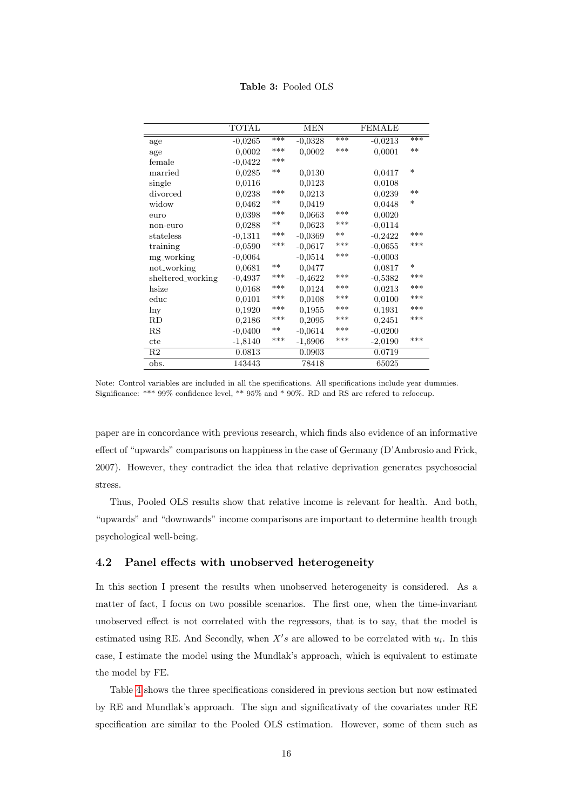Table 3: Pooled OLS

<span id="page-15-0"></span>

|                   | <b>TOTAL</b> |       | <b>MEN</b> |       | <b>FEMALE</b> |        |
|-------------------|--------------|-------|------------|-------|---------------|--------|
| age               | $-0,0265$    | ***   | $-0,0328$  | ***   | $-0,0213$     | ***    |
| age               | 0,0002       | ***   | 0,0002     | ***   | 0,0001        | $**$   |
| female            | $-0,0422$    | ***   |            |       |               |        |
| married           | 0,0285       | $***$ | 0,0130     |       | 0,0417        | $\ast$ |
| single            | 0,0116       |       | 0,0123     |       | 0,0108        |        |
| divorced          | 0.0238       | ***   | 0,0213     |       | 0.0239        | $***$  |
| widow             | 0.0462       | $***$ | 0.0419     |       | 0.0448        | $\ast$ |
| euro              | 0,0398       | ***   | 0,0663     | ***   | 0,0020        |        |
| non-euro          | 0,0288       | $***$ | 0,0623     | ***   | $-0,0114$     |        |
| stateless         | $-0,1311$    | ***   | $-0,0369$  | $***$ | $-0,2422$     | ***    |
| training          | $-0.0590$    | ***   | $-0.0617$  | ***   | $-0.0655$     | ***    |
| mg_working        | $-0,0064$    |       | $-0,0514$  | ***   | $-0,0003$     |        |
| not_working       | 0,0681       | $**$  | 0,0477     |       | 0,0817        | $\ast$ |
| sheltered_working | $-0,4937$    | ***   | $-0,4622$  | ***   | $-0,5382$     | ***    |
| hsize             | 0.0168       | ***   | 0.0124     | ***   | 0,0213        | ***    |
| $_{\rm educ}$     | 0.0101       | ***   | 0.0108     | ***   | 0,0100        | ***    |
| lny               | 0,1920       | ***   | 0,1955     | ***   | 0,1931        | ***    |
| RD                | 0,2186       | ***   | 0,2095     | ***   | 0,2451        | ***    |
| $_{\rm RS}$       | $-0,0400$    | $***$ | $-0,0614$  | ***   | $-0,0200$     |        |
| cte               | $-1,8140$    | ***   | $-1,6906$  | ***   | $-2,0190$     | ***    |
| R <sub>2</sub>    | 0.0813       |       | 0.0903     |       | 0.0719        |        |
| obs.              | 143443       |       | 78418      |       | 65025         |        |

Note: Control variables are included in all the specifications. All specifications include year dummies. Significance: \*\*\* 99% confidence level, \*\* 95% and \* 90%. RD and RS are refered to refoccup.

paper are in concordance with previous research, which finds also evidence of an informative effect of "upwards" comparisons on happiness in the case of Germany (D'Ambrosio and Frick, 2007). However, they contradict the idea that relative deprivation generates psychosocial stress.

Thus, Pooled OLS results show that relative income is relevant for health. And both, "upwards" and "downwards" income comparisons are important to determine health trough psychological well-being.

### 4.2 Panel effects with unobserved heterogeneity

In this section I present the results when unobserved heterogeneity is considered. As a matter of fact, I focus on two possible scenarios. The first one, when the time-invariant unobserved effect is not correlated with the regressors, that is to say, that the model is estimated using RE. And Secondly, when  $X's$  are allowed to be correlated with  $u_i$ . In this case, I estimate the model using the Mundlak's approach, which is equivalent to estimate the model by FE.

Table [4](#page-17-0) shows the three specifications considered in previous section but now estimated by RE and Mundlak's approach. The sign and significativaty of the covariates under RE specification are similar to the Pooled OLS estimation. However, some of them such as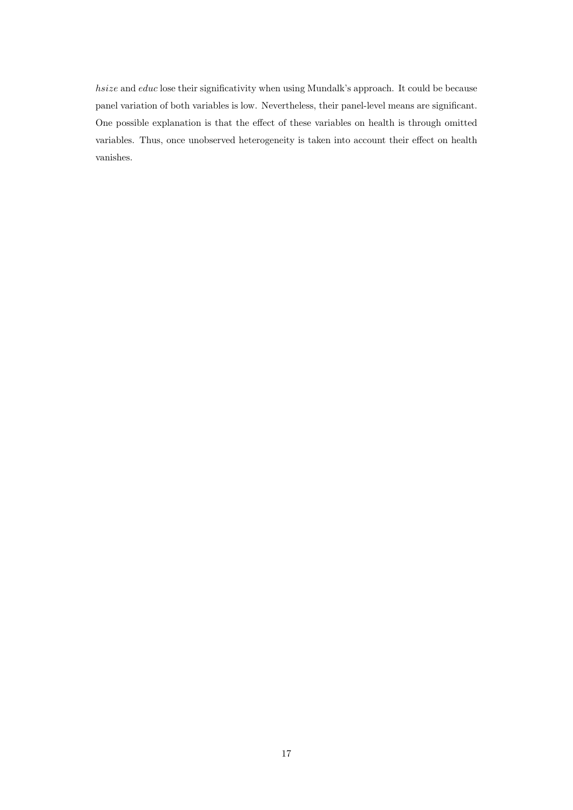hsize and educ lose their significativity when using Mundalk's approach. It could be because panel variation of both variables is low. Nevertheless, their panel-level means are significant. One possible explanation is that the effect of these variables on health is through omitted variables. Thus, once unobserved heterogeneity is taken into account their effect on health vanishes.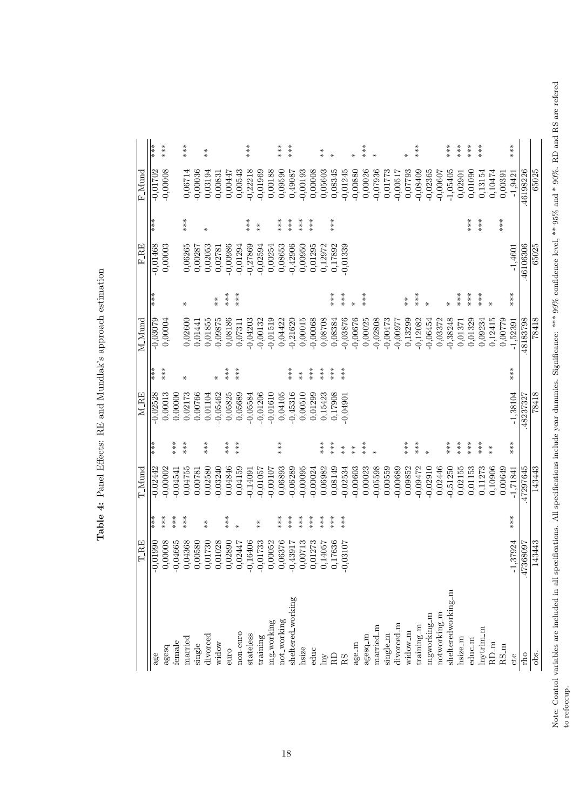Note: Control variables are included in all specifications. All specifications include year dummies. Significance: \*\*\* 99% confidence level, \*\* 95% and \* 90%. RD and RS are refered<br>to refoccup. Note: Control variables are included in all specifications. All specifications include year dummies. Significance: \*\*\* 99% confidence level, \*\* 95% and \* 90%. RD and RS are refered to refoccup.

|                             | TRE            |                      | T_Mund     |          | <b>M_RE</b> |          | $M_M$      |                      | $_{\rm F, RE}$ |          | $F_{\rm Mund}$ |                      |
|-----------------------------|----------------|----------------------|------------|----------|-------------|----------|------------|----------------------|----------------|----------|----------------|----------------------|
| age                         | 0.01990<br>ℸ   | $***$                | $-0,02442$ | ***      | $-0.02528$  | ***      | $-0,03079$ | ***                  | $-0,01468$     | ***      | $-0,01702$     | ***                  |
| agesq                       | 0,00008        | $***$                | $-0,00002$ |          | 0,00013     | ***      | 0,00004    |                      | 0,00003        |          | $-0,00008$     | ***                  |
| female                      | 0,04665<br>T   | ***                  | $-0,04541$ | ***      | 0,00000     |          |            |                      |                |          |                |                      |
| married                     | 0,04368        | $***$                | 0,04755    | $**\ast$ | 0,02173     | ₩        | 0,02600    | $\ast$               | 0,06265        | $**\ast$ | 0,06714        | $***$                |
| single                      | 0,00580        |                      | 0,00781    |          | 0,00766     |          | 0,01441    |                      | 0,00287        |          | $-0,00036$     |                      |
| divorced                    | 0,01730        | $\stackrel{*}{\ast}$ | 0,02580    | ***      | 0,01104     |          | 0,01855    |                      | 0,02053        | ⋇        | 0,03194        | $\stackrel{*}{\ast}$ |
| widow                       | 0,01028        |                      | $-0,03240$ |          | $-0,05462$  | ₩        | $-0,09875$ | $* \ast$             | 0,02781        |          | $-0,00831$     |                      |
| euro                        | 0,02890        | $***$                | 0,04846    | $***$    | 0,05825     | $***$    | 0,08186    | $**\n$               | $-0,00986$     |          | 0,00447        |                      |
| non-euro                    | 0,02447        | $\ast$               | 0,04159    | $***$    | 0,05689     | ***      | 0,07311    | ***                  | $-0,01294$     |          | 0,00543        |                      |
| stateless                   | 0,16406        |                      | $-0,14091$ |          | $-0,05584$  |          | $-0,04203$ |                      | $-0,27869$     | ***      | $-0,22218$     | ***                  |
| training                    | $-0,01733$     | $* \ast$             | $-0,01057$ |          | $-0,01206$  |          | $-0,00132$ |                      | $-0,02594$     | $*$      | $-0,01969$     |                      |
| mg-working                  | 0,00052        |                      | $-0,00107$ |          | $-0,01610$  |          | $-0,01519$ |                      | 0,00254        |          | 0,00188        |                      |
| not_working                 | 0,06376        | $**\ast$             | 0,06893    | $***$    | 0,04105     |          | 0,04422    |                      | 0,08653        | $***$    | 0,09590        | $***$                |
| sheltered_working           | 1,43917        | ***                  | $-0,06289$ |          | $-0,45316$  | $***$    | $-0,21620$ |                      | $-0,42906$     | ***      | 0,49087        | ***                  |
| hsize                       | 0,00713        | ***                  | $-0,00095$ |          | 0,00510     | $* \ast$ | 0,00015    |                      | 0,00950        | ***      | $-0,00193$     |                      |
| educ                        | 0,01273        | $***$                | $-0,00024$ |          | 0,01299     | $***$    | $-0,00068$ |                      | 0,01295        | $**\ast$ | 0,00008        |                      |
| $\ensuremath{\mathrm{Im}y}$ | 1,14057        | $***$                | 0,06982    | $***$    | 0,15423     | $***$    | 0,08708    |                      | 0,12972        |          | 0,05603        | $\stackrel{*}{*}$    |
| RD                          | 0,17636        | ***                  | 0,08149    | ***      | 0,17908     | ***      | 0,08384    | $***$                | 0,17892        | $***$    | 0,08345        | ⋇                    |
| RS                          | $-0,03107$     | ***                  | $-0,02534$ | $*$      | $-0,04901$  | ***      | $-0,03876$ | $***$                | $-0,01339$     |          | $-0,01245$     |                      |
| age_m                       |                |                      | $-0,00603$ | $* \ast$ |             |          | $-0,00676$ | $\ast$               |                |          | $-0,00880$     | ₩                    |
| agesq_m                     |                |                      | 0,00023    | ***      |             |          | 0,00025    | $***$                |                |          | 0,00026        | $***$                |
| married_m                   |                |                      | $-0,05598$ | $\ast$   |             |          | $-0,02808$ |                      |                |          | $-0,07936$     | $\ast$               |
| single_m                    |                |                      | 0,00559    |          |             |          | $-0,00473$ |                      |                |          | 0,01773        |                      |
| divorced_m                  |                |                      | $-0,00689$ |          |             |          | $-0,00077$ |                      |                |          | $-0,00517$     |                      |
| widow_m                     |                |                      | 0,09852    | $***$    |             |          | 0,13299    | $\stackrel{*}{\ast}$ |                |          | 0,07793        | ∗                    |
| training_m                  |                |                      | $-0,09472$ | ***      |             |          | $-0,12082$ | ***                  |                |          | $-0,08409$     | ***                  |
| mgworking_m                 |                |                      | $-0,02910$ | $\ast$   |             |          | $-0,06454$ | $\ast$               |                |          | $-0,02365$     |                      |
| notworking_m                |                |                      | 0,02446    |          |             |          | 0,03372    |                      |                |          | $-0,00607$     |                      |
| shelteredworking_m          |                |                      | $-0,51250$ | $**\ast$ |             |          | $-0,38248$ | $\ast$               |                |          | $-1,05405$     | $**\ast$             |
| hsize m                     |                |                      | 0,02155    | $***$    |             |          | 0,01371    | $***$                |                |          | 0,02901        | $***$                |
| educ_m                      |                |                      | 0,01153    | $***$    |             |          | 0,01329    | ***                  |                | ***      | 0,01090        | $***$                |
| $\ln x$ trim_m              |                |                      | 0,11273    | ***      |             |          | 0,09234    | ***                  |                | ***      | 0,13154        | ***                  |
| $RD_m$                      |                |                      | 0,10906    | $*$      |             |          | 0,12415    | $\ast$               |                |          | 0,10474        |                      |
| $RS_m$                      |                |                      | 0,00649    |          |             |          | 0,00779    |                      |                | $***$    | 0,00391        |                      |
| cte                         | 1,37924<br>7   | ***                  | $-1,71841$ | ***      | $-1,38104$  | ***      | $-1,52391$ | ***                  | $-1,4601$      |          | $-1,9421$      | ***                  |
| rho                         | 368097<br>-47. |                      | 47297645   |          | .48237327   |          | 48183798   |                      | 46106306       |          | 46198226       |                      |
| obs.                        | 143443         |                      | 143443     |          | 78418       |          | 78418      |                      | 65025          |          | 65025          |                      |

<span id="page-17-0"></span>Table 4: Panel Effects: RE and Mundlak's approach estimation Table 4: Panel Effects: RE and Mundlak's approach estimation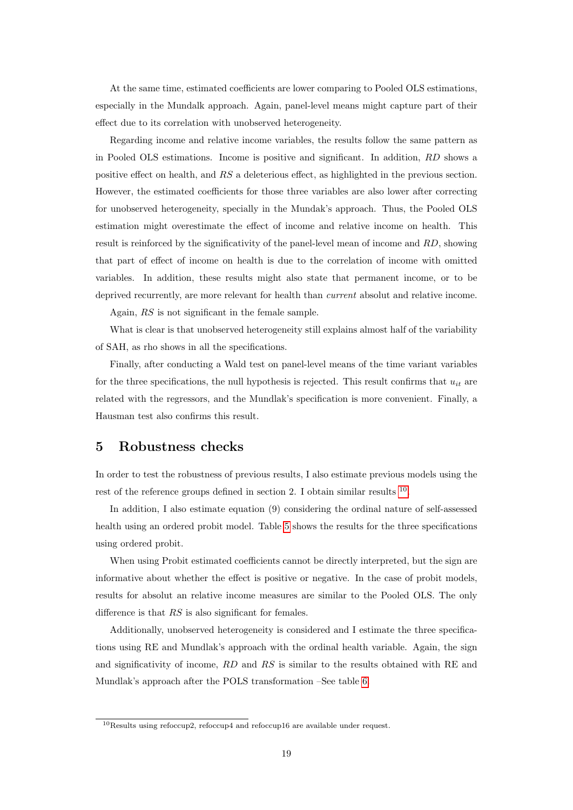At the same time, estimated coefficients are lower comparing to Pooled OLS estimations, especially in the Mundalk approach. Again, panel-level means might capture part of their effect due to its correlation with unobserved heterogeneity.

Regarding income and relative income variables, the results follow the same pattern as in Pooled OLS estimations. Income is positive and significant. In addition, RD shows a positive effect on health, and RS a deleterious effect, as highlighted in the previous section. However, the estimated coefficients for those three variables are also lower after correcting for unobserved heterogeneity, specially in the Mundak's approach. Thus, the Pooled OLS estimation might overestimate the effect of income and relative income on health. This result is reinforced by the significativity of the panel-level mean of income and RD, showing that part of effect of income on health is due to the correlation of income with omitted variables. In addition, these results might also state that permanent income, or to be deprived recurrently, are more relevant for health than *current* absolut and relative income.

Again, RS is not significant in the female sample.

What is clear is that unobserved heterogeneity still explains almost half of the variability of SAH, as rho shows in all the specifications.

Finally, after conducting a Wald test on panel-level means of the time variant variables for the three specifications, the null hypothesis is rejected. This result confirms that  $u_{it}$  are related with the regressors, and the Mundlak's specification is more convenient. Finally, a Hausman test also confirms this result.

## 5 Robustness checks

In order to test the robustness of previous results, I also estimate previous models using the rest of the reference groups defined in section 2. I obtain similar results <sup>[10](#page-18-0)</sup>.

In addition, I also estimate equation (9) considering the ordinal nature of self-assessed health using an ordered probit model. Table [5](#page-19-0) shows the results for the three specifications using ordered probit.

When using Probit estimated coefficients cannot be directly interpreted, but the sign are informative about whether the effect is positive or negative. In the case of probit models, results for absolut an relative income measures are similar to the Pooled OLS. The only difference is that  $RS$  is also significant for females.

Additionally, unobserved heterogeneity is considered and I estimate the three specifications using RE and Mundlak's approach with the ordinal health variable. Again, the sign and significativity of income, RD and RS is similar to the results obtained with RE and Mundlak's approach after the POLS transformation –See table [6.](#page-20-0)

<span id="page-18-0"></span><sup>10</sup>Results using refoccup2, refoccup4 and refoccup16 are available under request.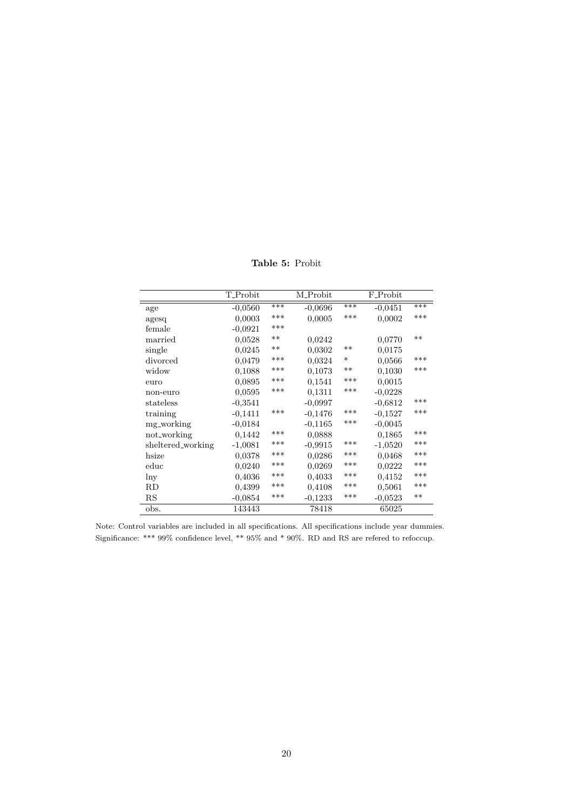Table 5: Probit

<span id="page-19-0"></span>

|                   | T_Probit  |       | M_Probit  |        | F_Probit  |       |
|-------------------|-----------|-------|-----------|--------|-----------|-------|
| age               | $-0,0560$ | ***   | $-0.0696$ | $***$  | $-0.0451$ | ***   |
| agesq             | 0,0003    | ***   | 0,0005    | ***    | 0,0002    | ***   |
| female            | $-0.0921$ | ***   |           |        |           |       |
| married           | 0,0528    | $**$  | 0,0242    |        | 0,0770    | $**$  |
| single            | 0,0245    | $***$ | 0,0302    | $***$  | 0,0175    |       |
| divorced          | 0.0479    | ***   | 0,0324    | $\ast$ | 0,0566    | ***   |
| widow             | 0.1088    | ***   | 0.1073    | $***$  | 0.1030    | ***   |
| euro              | 0,0895    | ***   | 0,1541    | ***    | 0,0015    |       |
| non-euro          | 0.0595    | ***   | 0.1311    | ***    | $-0,0228$ |       |
| stateless         | $-0,3541$ |       | $-0,0997$ |        | $-0,6812$ | ***   |
| training          | $-0,1411$ | ***   | $-0,1476$ | ***    | $-0,1527$ | ***   |
| mg_working        | $-0,0184$ |       | $-0,1165$ | ***    | $-0,0045$ |       |
| not_working       | 0.1442    | ***   | 0.0888    |        | 0.1865    | ***   |
| sheltered_working | $-1,0081$ | ***   | $-0,9915$ | ***    | $-1,0520$ | ***   |
| hsize             | 0,0378    | ***   | 0,0286    | ***    | 0,0468    | ***   |
| educ              | 0,0240    | ***   | 0,0269    | ***    | 0,0222    | ***   |
| lny               | 0.4036    | ***   | 0,4033    | ***    | 0.4152    | ***   |
| RD                | 0,4399    | ***   | 0,4108    | ***    | 0,5061    | ***   |
| $_{\rm RS}$       | $-0.0854$ | ***   | $-0,1233$ | ***    | $-0.0523$ | $***$ |
| obs.              | 143443    |       | 78418     |        | 65025     |       |

Note: Control variables are included in all specifications. All specifications include year dummies. Significance: \*\*\*  $99\%$  confidence level, \*\*  $95\%$  and \*  $90\%.$  RD and RS are refered to refoccup.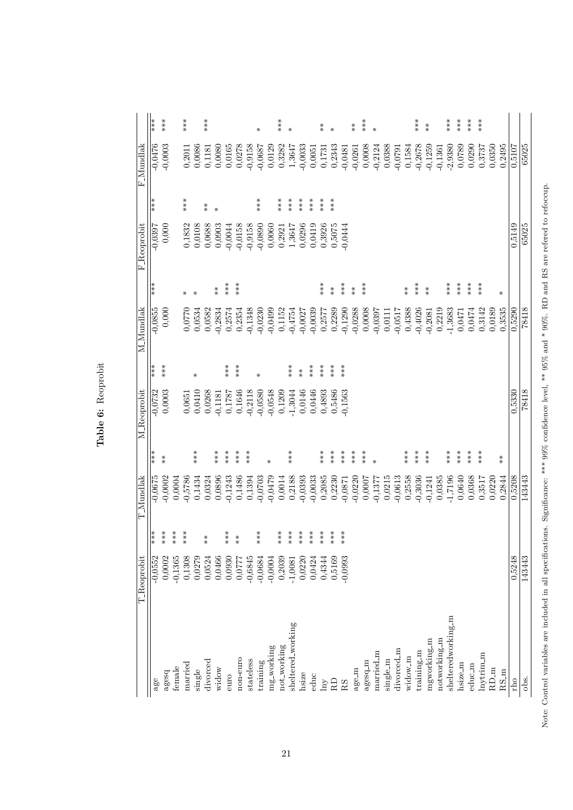|                     | ***       | ***              |           | $***$     |        | ***      |           |           |           |           | $\ast$    |            | $***$       | $\ast$            |                                          |           | $* \ast$ | $\ast$                                   |           | $* \ast$             | $***$    | $\ast$    |          |            |                      | ***        | $* \ast$             |              | $**\n$             | $***$   | ***    | ***          |                                   |                   |        |        |
|---------------------|-----------|------------------|-----------|-----------|--------|----------|-----------|-----------|-----------|-----------|-----------|------------|-------------|-------------------|------------------------------------------|-----------|----------|------------------------------------------|-----------|----------------------|----------|-----------|----------|------------|----------------------|------------|----------------------|--------------|--------------------|---------|--------|--------------|-----------------------------------|-------------------|--------|--------|
| F_Mundlak           | $-0,0476$ | $-0,0003$        |           | 0,2011    | 0,0086 | 0,1181   | 0,0080    | 0,0165    | 0,0278    | $-0,9158$ | $-0,0687$ | 0,0129     | 0,3282      | 1,3647            | $-0,0033$                                | 0,0051    | 0,1731   | 0,2343                                   | $-0,0481$ | $-0,0261$            | 0,0008   | $-0,2124$ | 0,0388   | $-0,0791$  | 0,1584               | $-0,2678$  | $-0,1259$            | $-0,1361$    | $-2,9380$          | 0,0789  | 0,0290 | 0,3737       | 0,0350                            | 0,2495            | 0,5107 | 65025  |
|                     | ***       |                  |           | $***$     |        | $*$      | $\ast$    |           |           |           | ***       |            | $**\ast$    | $***$             | ***                                      | $***$     | $***$    | ***                                      |           |                      |          |           |          |            |                      |            |                      |              |                    |         |        |              |                                   |                   |        |        |
| <b>F</b> _Reoprobit | $-0.0397$ | 0,000            |           | 0,1832    | 0,0108 | 0,0688   | 0,0903    | $-0,0044$ | $-0,0158$ | $-0,9158$ | $-0,0890$ | 0,0060     | 0,2921      | 1,3647            | 0,0296                                   | 0,0419    | 0,3926   | 0,5075                                   | $-0,0444$ |                      |          |           |          |            |                      |            |                      |              |                    |         |        |              |                                   |                   | 0,5149 | 65025  |
|                     | ***       |                  |           | $\ast$    | ₩      |          | $* \ast$  | $***$     | ***       |           |           |            |             |                   |                                          |           | ***      | $\begin{array}{c} * \ * \ * \end{array}$ | ***       | $\stackrel{*}{\ast}$ | $***$    |           |          |            | $\stackrel{*}{\ast}$ | ***        | $\stackrel{*}{\ast}$ |              | ***                | ***     | ***    | ***          |                                   | ⋇                 |        |        |
| M_Mundlak           | $-0,0855$ | 0,000            |           | 0,0770    | 0,0534 | 0,0582   | $-0,2834$ | 0,2574    | 0,2354    | $-0,1348$ | $-0,0230$ | $-0,0499$  | 0,1152      | $-0,4754$         | $-0,0027$                                | $-0,0039$ | 0,2577   | 0,2289                                   | $-0,1290$ | $-0,0288$            | 0,0008   | $-0,0397$ | 0,0111   | $-0,0517$  | 0,4388               | $-0,4026$  | $-0,2081$            | 0,2219       | $-1,3683$          | 0,0471  | 0,0474 | 0,3142       | 0,0189                            | 0,3535            | 0,5290 | 78418  |
|                     | ***       | ***              |           |           | ⋇      |          |           | $***$     | ***       |           | ₩         |            |             | ***               | $\begin{array}{c} * \ * \ * \end{array}$ | $***$     | $***$    | $***$                                    | ***       |                      |          |           |          |            |                      |            |                      |              |                    |         |        |              |                                   |                   |        |        |
| M_Reoprobit         | $-0,0732$ | 0,0003           |           | 0,0651    | 0,0410 | 0,0268   | $-0,1181$ | 0,1787    | 0,1646    | $-0,2118$ | $-0,0580$ | $-0,0548$  | 0,1209      | $-1,3044$         | 0,0146                                   | 0,0446    | 0,4893   | 0,5486                                   | $-0,1563$ |                      |          |           |          |            |                      |            |                      |              |                    |         |        |              |                                   |                   | 0,5330 | 78418  |
|                     | ***       | $\overset{*}{*}$ |           |           | ***    |          | $***$     | $**\ast$  | $***$     | ***       |           | ⋇          |             | $***$             |                                          |           | $***$    | ***                                      | ***       | ***                  | $**\ast$ | $\ast$    |          |            | $***$                | ***        | ***                  |              | $***$              | $***$   | ***    | ***          |                                   | $\stackrel{*}{*}$ |        |        |
| <b>T</b> _Mundlak   | $-0,0675$ | $-0,0002$        | 0,0004    | $-0,5786$ | 0,1434 | 0,0324   | 0,0896    | $-0,1243$ | 0,1486    | 0,1394    | $-0,0703$ | $-0,0479$  | 0,0014      | 0,2188            | $-0,0393$                                | $-0,0033$ | 0,2085   | 0,2230                                   | $-0,0871$ | $-0,0220$            | 0,0007   | $-0,1377$ | 0,0215   | $-0,0613$  | 0,2558               | $-0,3036$  | $-0,1241$            | 0,0385       | $-1,7196$          | 0,0640  | 0,0368 | 0,3517       | 0,0220                            | 0,2844            | 0,5208 | 143443 |
|                     | ∤**       | ***              | ***       | $***$     |        | $*$      |           | $***$     | $* *$     |           | $***$     |            | $***$       | ***               | $***$                                    | $***$     | $***$    | ***                                      | $***$     |                      |          |           |          |            |                      |            |                      |              |                    |         |        |              |                                   |                   |        |        |
| <b>T_Reoprobit</b>  | $-0,0552$ | 0,0002           | $-0,1365$ | 0,1308    | 0,0279 | 0,0524   | 0,0466    | 0,0930    | 0,0777    | $-0,6845$ | $-0,0684$ | $-0,0004$  | 0,2039      | $-1,0081$         | 0,0220                                   | 0,0424    | 0,4344   | 0,5169                                   | $-0,0993$ |                      |          |           |          |            |                      |            |                      |              |                    |         |        |              |                                   |                   | 0,5248 | 143443 |
|                     | age       | agesq            | female    | married   | single | divorced | widow     | euro      | non-euro  | stateless | training  | mg-working | not_working | sheltered_working | hsize                                    | educ      | hny      | RD                                       | RS        | age_m                | agesq_m  | married_m | single_m | divorced_m | widow_m              | training_m | mgworking_m          | notworking_m | shelteredworking_m | hsize_m | educ_m | $\ln x$ trim | $\mathop{\mathrm{RD}}\nolimits$ m | $RS_m$            | rho    | obs.   |

Table 6: Reoprobit Table 6: Reoprobit

<span id="page-20-0"></span>21

Note: Control variables are included in all specifications. Significance: \*\*\*\* 99% confidence level, \*\* 95% and \* 90%. RD and RS are refered to refoccup. Note: Control variables are included in all specifications. Significance: \*\*\* 99% confidence level, \*\* 95% and \* 90%. RD and RS are refered to refoccup.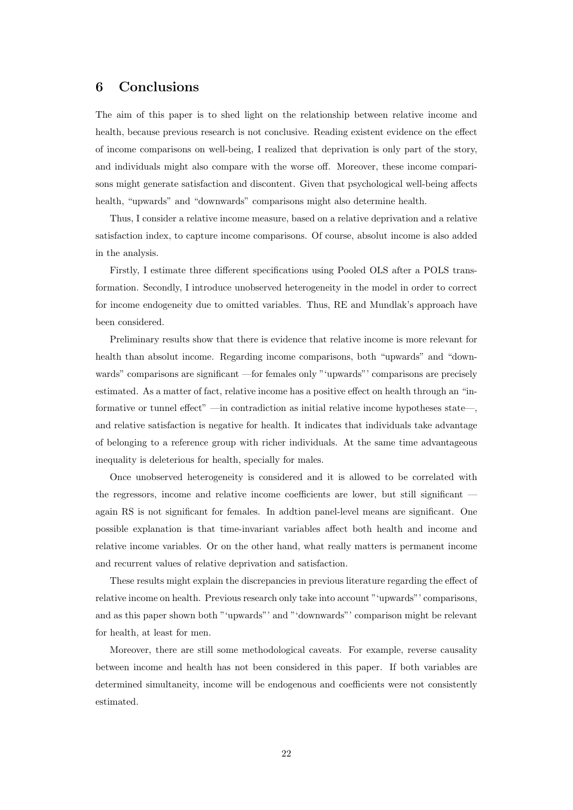### 6 Conclusions

The aim of this paper is to shed light on the relationship between relative income and health, because previous research is not conclusive. Reading existent evidence on the effect of income comparisons on well-being, I realized that deprivation is only part of the story, and individuals might also compare with the worse off. Moreover, these income comparisons might generate satisfaction and discontent. Given that psychological well-being affects health, "upwards" and "downwards" comparisons might also determine health.

Thus, I consider a relative income measure, based on a relative deprivation and a relative satisfaction index, to capture income comparisons. Of course, absolut income is also added in the analysis.

Firstly, I estimate three different specifications using Pooled OLS after a POLS transformation. Secondly, I introduce unobserved heterogeneity in the model in order to correct for income endogeneity due to omitted variables. Thus, RE and Mundlak's approach have been considered.

Preliminary results show that there is evidence that relative income is more relevant for health than absolut income. Regarding income comparisons, both "upwards" and "downwards" comparisons are significant —for females only "'upwards"' comparisons are precisely estimated. As a matter of fact, relative income has a positive effect on health through an "informative or tunnel effect" —in contradiction as initial relative income hypotheses state—, and relative satisfaction is negative for health. It indicates that individuals take advantage of belonging to a reference group with richer individuals. At the same time advantageous inequality is deleterious for health, specially for males.

Once unobserved heterogeneity is considered and it is allowed to be correlated with the regressors, income and relative income coefficients are lower, but still significant again RS is not significant for females. In addtion panel-level means are significant. One possible explanation is that time-invariant variables affect both health and income and relative income variables. Or on the other hand, what really matters is permanent income and recurrent values of relative deprivation and satisfaction.

These results might explain the discrepancies in previous literature regarding the effect of relative income on health. Previous research only take into account "'upwards"' comparisons, and as this paper shown both "'upwards"' and "'downwards"' comparison might be relevant for health, at least for men.

Moreover, there are still some methodological caveats. For example, reverse causality between income and health has not been considered in this paper. If both variables are determined simultaneity, income will be endogenous and coefficients were not consistently estimated.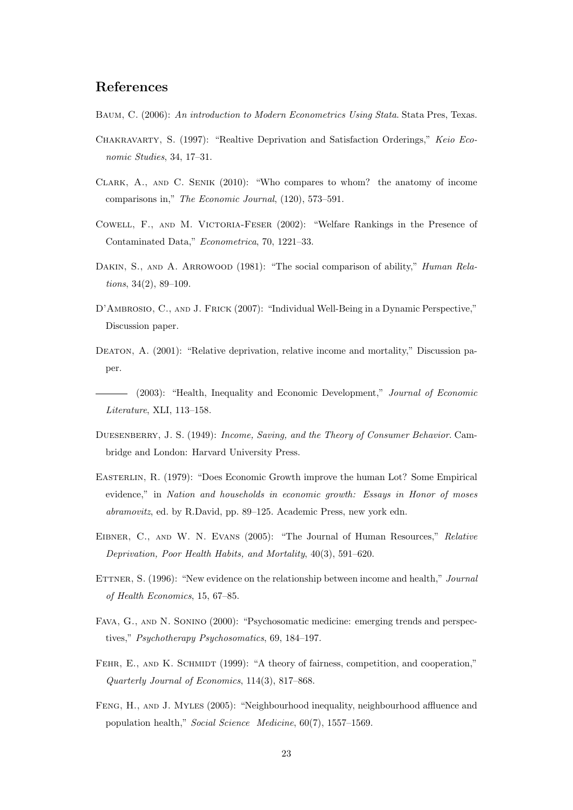# References

- Baum, C. (2006): An introduction to Modern Econometrics Using Stata. Stata Pres, Texas.
- Chakravarty, S. (1997): "Realtive Deprivation and Satisfaction Orderings," Keio Economic Studies, 34, 17–31.
- Clark, A., and C. Senik (2010): "Who compares to whom? the anatomy of income comparisons in," The Economic Journal, (120), 573–591.
- Cowell, F., and M. Victoria-Feser (2002): "Welfare Rankings in the Presence of Contaminated Data," Econometrica, 70, 1221–33.
- DAKIN, S., AND A. ARROWOOD (1981): "The social comparison of ability," *Human Rela*tions, 34(2), 89–109.
- D'Ambrosio, C., and J. Frick (2007): "Individual Well-Being in a Dynamic Perspective," Discussion paper.
- DEATON, A. (2001): "Relative deprivation, relative income and mortality," Discussion paper.
- (2003): "Health, Inequality and Economic Development," Journal of Economic Literature, XLI, 113–158.
- DUESENBERRY, J. S. (1949): Income, Saving, and the Theory of Consumer Behavior. Cambridge and London: Harvard University Press.
- Easterlin, R. (1979): "Does Economic Growth improve the human Lot? Some Empirical evidence," in Nation and households in economic growth: Essays in Honor of moses abramovitz, ed. by R.David, pp. 89–125. Academic Press, new york edn.
- Eibner, C., and W. N. Evans (2005): "The Journal of Human Resources," Relative Deprivation, Poor Health Habits, and Mortality, 40(3), 591–620.
- ETTNER, S. (1996): "New evidence on the relationship between income and health," Journal of Health Economics, 15, 67–85.
- Fava, G., and N. Sonino (2000): "Psychosomatic medicine: emerging trends and perspectives," Psychotherapy Psychosomatics, 69, 184–197.
- FEHR, E., AND K. SCHMIDT (1999): "A theory of fairness, competition, and cooperation," Quarterly Journal of Economics, 114(3), 817–868.
- Feng, H., and J. Myles (2005): "Neighbourhood inequality, neighbourhood affluence and population health," Social Science Medicine, 60(7), 1557–1569.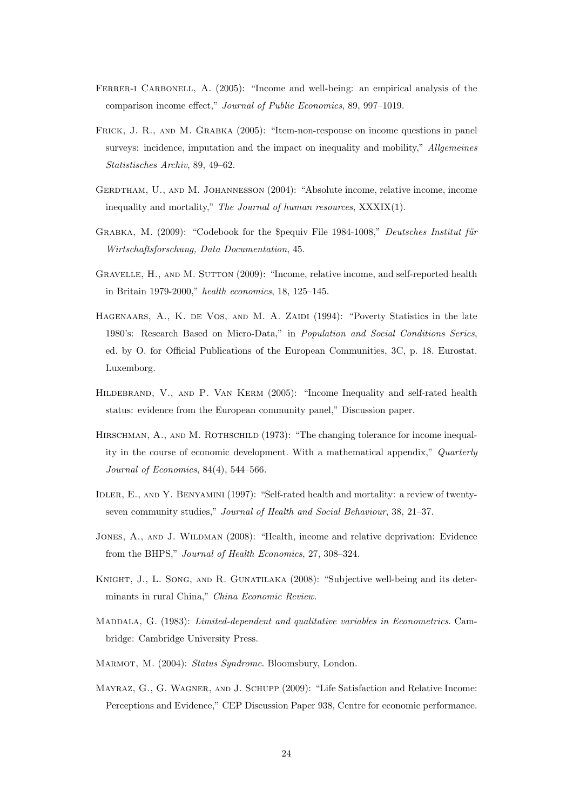- FERRER-I CARBONELL, A. (2005): "Income and well-being: an empirical analysis of the comparison income effect," Journal of Public Economics, 89, 997–1019.
- Frick, J. R., and M. Grabka (2005): "Item-non-response on income questions in panel surveys: incidence, imputation and the impact on inequality and mobility," Allgemeines Statistisches Archiv, 89, 49–62.
- GERDTHAM, U., AND M. JOHANNESSON (2004): "Absolute income, relative income, income inequality and mortality," The Journal of human resources, XXXIX(1).
- GRABKA, M.  $(2009)$ : "Codebook for the \$pequiv File 1984-1008," Deutsches Institut für Wirtschaftsforschung, Data Documentation, 45.
- GRAVELLE, H., AND M. SUTTON (2009): "Income, relative income, and self-reported health in Britain 1979-2000," health economics, 18, 125–145.
- HAGENAARS, A., K. DE VOS, AND M. A. ZAIDI (1994): "Poverty Statistics in the late 1980's: Research Based on Micro-Data," in Population and Social Conditions Series, ed. by O. for Official Publications of the European Communities, 3C, p. 18. Eurostat. Luxemborg.
- HILDEBRAND, V., AND P. VAN KERM (2005): "Income Inequality and self-rated health status: evidence from the European community panel," Discussion paper.
- HIRSCHMAN, A., AND M. ROTHSCHILD (1973): "The changing tolerance for income inequality in the course of economic development. With a mathematical appendix," Quarterly Journal of Economics, 84(4), 544–566.
- Idler, E., and Y. Benyamini (1997): "Self-rated health and mortality: a review of twentyseven community studies," Journal of Health and Social Behaviour, 38, 21–37.
- Jones, A., and J. Wildman (2008): "Health, income and relative deprivation: Evidence from the BHPS," Journal of Health Economics, 27, 308–324.
- Knight, J., L. Song, and R. Gunatilaka (2008): "Subjective well-being and its determinants in rural China," China Economic Review.
- MADDALA, G. (1983): Limited-dependent and qualitative variables in Econometrics. Cambridge: Cambridge University Press.
- MARMOT, M. (2004): Status Syndrome. Bloomsbury, London.
- Mayraz, G., G. Wagner, and J. Schupp (2009): "Life Satisfaction and Relative Income: Perceptions and Evidence," CEP Discussion Paper 938, Centre for economic performance.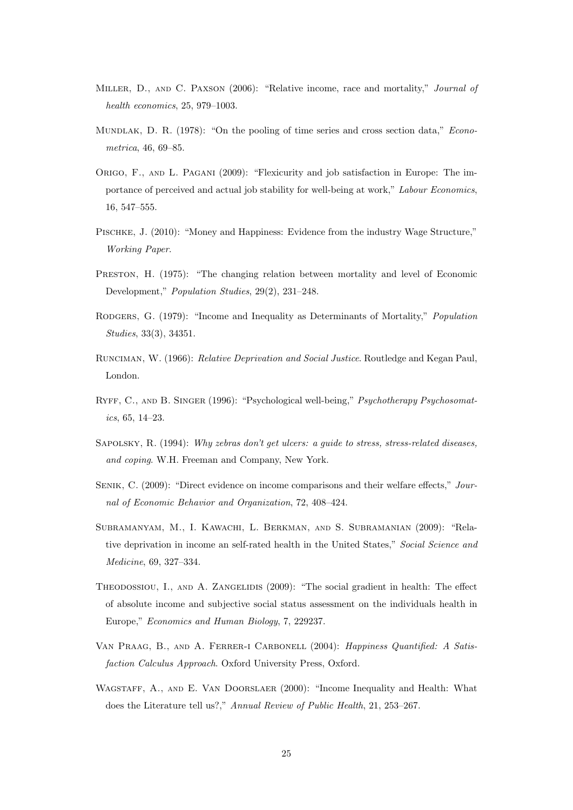- MILLER, D., AND C. PAXSON (2006): "Relative income, race and mortality," Journal of health economics, 25, 979–1003.
- MUNDLAK, D. R. (1978): "On the pooling of time series and cross section data," *Econo*metrica, 46, 69–85.
- ORIGO, F., AND L. PAGANI (2009): "Flexicurity and job satisfaction in Europe: The importance of perceived and actual job stability for well-being at work," Labour Economics, 16, 547–555.
- Pischke, J. (2010): "Money and Happiness: Evidence from the industry Wage Structure," Working Paper.
- PRESTON, H. (1975): "The changing relation between mortality and level of Economic Development," Population Studies, 29(2), 231–248.
- RODGERS, G. (1979): "Income and Inequality as Determinants of Mortality," *Population* Studies, 33(3), 34351.
- Runciman, W. (1966): Relative Deprivation and Social Justice. Routledge and Kegan Paul, London.
- RYFF, C., AND B. SINGER (1996): "Psychological well-being," Psychotherapy Psychosomatics, 65, 14–23.
- SAPOLSKY, R. (1994): Why zebras don't get ulcers: a quide to stress, stress-related diseases, and coping. W.H. Freeman and Company, New York.
- Senik, C. (2009): "Direct evidence on income comparisons and their welfare effects," Journal of Economic Behavior and Organization, 72, 408–424.
- Subramanyam, M., I. Kawachi, L. Berkman, and S. Subramanian (2009): "Relative deprivation in income an self-rated health in the United States," Social Science and Medicine, 69, 327–334.
- THEODOSSIOU, I., AND A. ZANGELIDIS (2009): "The social gradient in health: The effect of absolute income and subjective social status assessment on the individuals health in Europe," Economics and Human Biology, 7, 229237.
- Van Praag, B., and A. Ferrer-i Carbonell (2004): Happiness Quantified: A Satisfaction Calculus Approach. Oxford University Press, Oxford.
- WAGSTAFF, A., AND E. VAN DOORSLAER (2000): "Income Inequality and Health: What does the Literature tell us?," Annual Review of Public Health, 21, 253–267.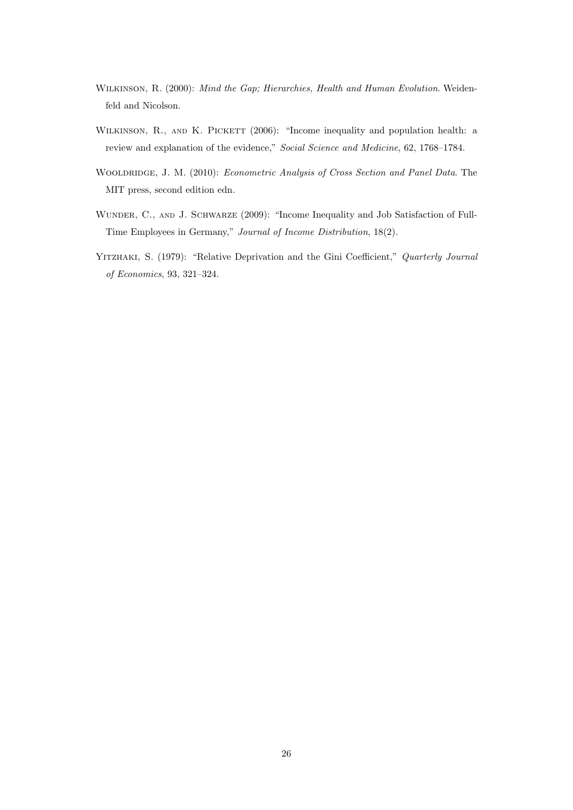- Wilkinson, R. (2000): Mind the Gap; Hierarchies, Health and Human Evolution. Weidenfeld and Nicolson.
- WILKINSON, R., AND K. PICKETT (2006): "Income inequality and population health: a review and explanation of the evidence," Social Science and Medicine, 62, 1768–1784.
- WOOLDRIDGE, J. M. (2010): Econometric Analysis of Cross Section and Panel Data. The MIT press, second edition edn.
- WUNDER, C., AND J. SCHWARZE (2009): "Income Inequality and Job Satisfaction of Full-Time Employees in Germany," Journal of Income Distribution, 18(2).
- YITZHAKI, S. (1979): "Relative Deprivation and the Gini Coefficient," Quarterly Journal of Economics, 93, 321–324.